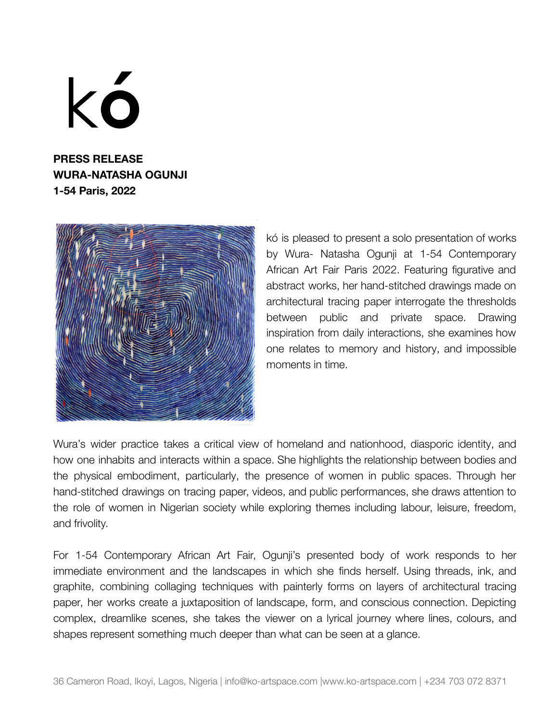kó

**PRESS RELEASE WURA-NATASHA OGUNJI 1-54 Paris, 2022**



kó is pleased to present a solo presentation of works by Wura- Natasha Ogunji at 1-54 Contemporary African Art Fair Paris 2022. Featuring figurative and abstract works, her hand-stitched drawings made on architectural tracing paper interrogate the thresholds between public and private space. Drawing inspiration from daily interactions, she examines how one relates to memory and history, and impossible moments in time.

Wura's wider practice takes a critical view of homeland and nationhood, diasporic identity, and how one inhabits and interacts within a space. She highlights the relationship between bodies and the physical embodiment, particularly, the presence of women in public spaces. Through her hand-stitched drawings on tracing paper, videos, and public performances, she draws attention to the role of women in Nigerian society while exploring themes including labour, leisure, freedom, and frivolity.

For 1-54 Contemporary African Art Fair, Ogunji's presented body of work responds to her immediate environment and the landscapes in which she finds herself. Using threads, ink, and graphite, combining collaging techniques with painterly forms on layers of architectural tracing paper, her works create a juxtaposition of landscape, form, and conscious connection. Depicting complex, dreamlike scenes, she takes the viewer on a lyrical journey where lines, colours, and shapes represent something much deeper than what can be seen at a glance.